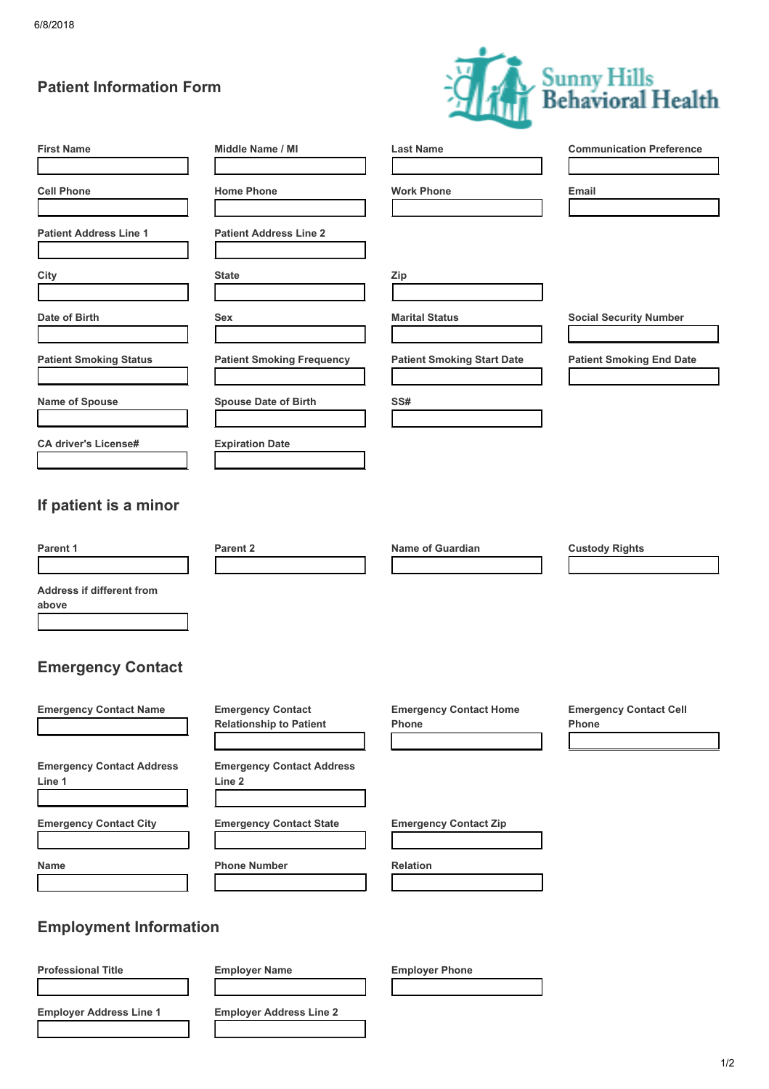## Patient Information Form



| <b>First Name</b>                                 | Middle Name / MI                           | <b>Last Name</b>                  | <b>Communication Preference</b> |  |  |  |
|---------------------------------------------------|--------------------------------------------|-----------------------------------|---------------------------------|--|--|--|
|                                                   |                                            |                                   |                                 |  |  |  |
| <b>Cell Phone</b>                                 | <b>Home Phone</b>                          | <b>Work Phone</b>                 | Email                           |  |  |  |
|                                                   |                                            |                                   |                                 |  |  |  |
| <b>Patient Address Line 1</b>                     | <b>Patient Address Line 2</b>              |                                   |                                 |  |  |  |
|                                                   |                                            |                                   |                                 |  |  |  |
| City                                              | <b>State</b>                               | Zip                               |                                 |  |  |  |
|                                                   |                                            |                                   |                                 |  |  |  |
| Date of Birth                                     | Sex                                        | <b>Marital Status</b>             | <b>Social Security Number</b>   |  |  |  |
| <b>Patient Smoking Status</b>                     | <b>Patient Smoking Frequency</b>           | <b>Patient Smoking Start Date</b> | <b>Patient Smoking End Date</b> |  |  |  |
|                                                   |                                            |                                   |                                 |  |  |  |
| Name of Spouse                                    | <b>Spouse Date of Birth</b>                | SS#                               |                                 |  |  |  |
|                                                   |                                            |                                   |                                 |  |  |  |
| <b>CA driver's License#</b>                       | <b>Expiration Date</b>                     |                                   |                                 |  |  |  |
|                                                   |                                            |                                   |                                 |  |  |  |
|                                                   |                                            |                                   |                                 |  |  |  |
| If patient is a minor                             |                                            |                                   |                                 |  |  |  |
|                                                   |                                            |                                   |                                 |  |  |  |
| Parent 1                                          | Parent 2                                   | Name of Guardian                  | <b>Custody Rights</b>           |  |  |  |
|                                                   |                                            |                                   |                                 |  |  |  |
| Address if different from<br>above                |                                            |                                   |                                 |  |  |  |
|                                                   |                                            |                                   |                                 |  |  |  |
|                                                   |                                            |                                   |                                 |  |  |  |
| <b>Emergency Contact</b>                          |                                            |                                   |                                 |  |  |  |
|                                                   |                                            |                                   |                                 |  |  |  |
| <b>Emergency Contact Name Firmergency Contact</b> |                                            | <b>Emergency Contact Home</b>     | <b>Emergency Contact Cell</b>   |  |  |  |
|                                                   | <b>Relationship to Patient</b>             | Phone                             | Phone                           |  |  |  |
|                                                   |                                            |                                   |                                 |  |  |  |
| <b>Emergency Contact Address</b><br>Line 1        | <b>Emergency Contact Address</b><br>Line 2 |                                   |                                 |  |  |  |
|                                                   |                                            |                                   |                                 |  |  |  |
| <b>Emergency Contact City</b>                     | <b>Emergency Contact State</b>             | <b>Emergency Contact Zip</b>      |                                 |  |  |  |
|                                                   |                                            |                                   |                                 |  |  |  |
| Name                                              | <b>Phone Number</b>                        | Relation                          |                                 |  |  |  |
|                                                   |                                            |                                   |                                 |  |  |  |
|                                                   |                                            |                                   |                                 |  |  |  |
| <b>Employment Information</b>                     |                                            |                                   |                                 |  |  |  |
|                                                   |                                            |                                   |                                 |  |  |  |
| <b>Professional Title</b>                         | <b>Employer Name</b>                       | <b>Employer Phone</b>             |                                 |  |  |  |
| <b>Employer Address Line 1</b>                    | <b>Employer Address Line 2</b>             |                                   |                                 |  |  |  |